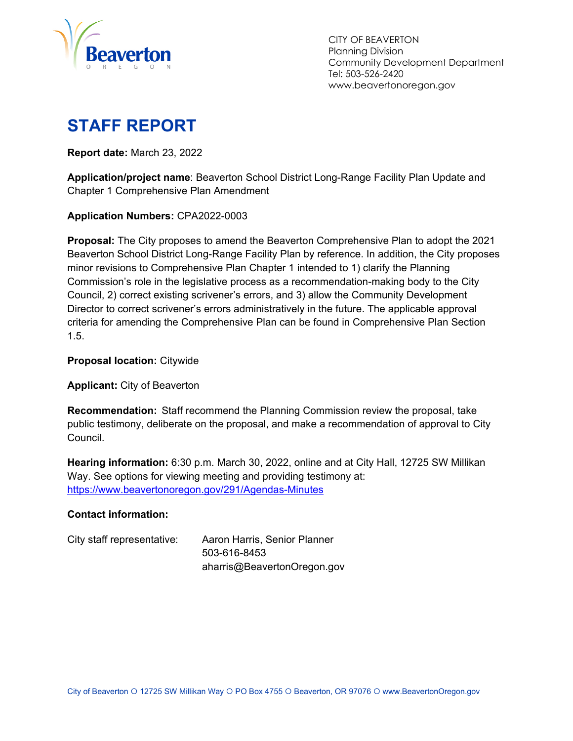

 CITY OF BEAVERTON Planning Division Community Development Department Tel: 503-526-2420 www.beavertonoregon.gov

# **STAFF REPORT**

**Report date:** March 23, 2022

**Application/project name**: Beaverton School District Long-Range Facility Plan Update and Chapter 1 Comprehensive Plan Amendment

**Application Numbers:** CPA2022-0003

**Proposal:** The City proposes to amend the Beaverton Comprehensive Plan to adopt the 2021 Beaverton School District Long-Range Facility Plan by reference. In addition, the City proposes minor revisions to Comprehensive Plan Chapter 1 intended to 1) clarify the Planning Commission's role in the legislative process as a recommendation-making body to the City Council, 2) correct existing scrivener's errors, and 3) allow the Community Development Director to correct scrivener's errors administratively in the future. The applicable approval criteria for amending the Comprehensive Plan can be found in Comprehensive Plan Section 1.5.

**Proposal location:** Citywide

**Applicant:** City of Beaverton

**Recommendation:** Staff recommend the Planning Commission review the proposal, take public testimony, deliberate on the proposal, and make a recommendation of approval to City Council.

**Hearing information:** 6:30 p.m. March 30, 2022, online and at City Hall, 12725 SW Millikan Way. See options for viewing meeting and providing testimony at: https://www.beavertonoregon.gov/291/Agendas-Minutes

#### **Contact information:**

| City staff representative: | Aaron Harris, Senior Planner |
|----------------------------|------------------------------|
|                            | 503-616-8453                 |
|                            | aharris@BeavertonOregon.gov  |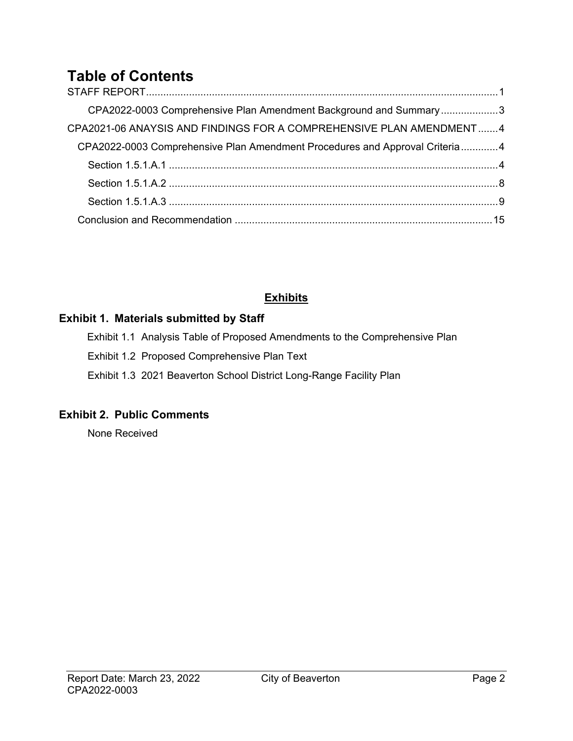# **Table of Contents**

| CPA2022-0003 Comprehensive Plan Amendment Background and Summary3           |  |
|-----------------------------------------------------------------------------|--|
| CPA2021-06 ANAYSIS AND FINDINGS FOR A COMPREHENSIVE PLAN AMENDMENT4         |  |
| CPA2022-0003 Comprehensive Plan Amendment Procedures and Approval Criteria4 |  |
|                                                                             |  |
|                                                                             |  |
|                                                                             |  |
|                                                                             |  |

### **Exhibits**

#### **Exhibit 1. Materials submitted by Staff**

Exhibit 1.1 Analysis Table of Proposed Amendments to the Comprehensive Plan Exhibit 1.2 Proposed Comprehensive Plan Text

Exhibit 1.3 2021 Beaverton School District Long-Range Facility Plan

### **Exhibit 2. Public Comments**

None Received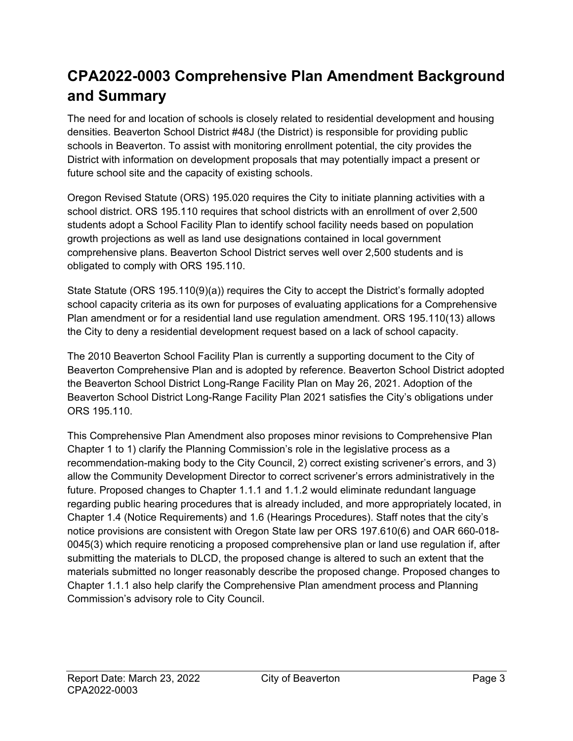# **CPA2022-0003 Comprehensive Plan Amendment Background and Summary**

The need for and location of schools is closely related to residential development and housing densities. Beaverton School District #48J (the District) is responsible for providing public schools in Beaverton. To assist with monitoring enrollment potential, the city provides the District with information on development proposals that may potentially impact a present or future school site and the capacity of existing schools.

Oregon Revised Statute (ORS) 195.020 requires the City to initiate planning activities with a school district. ORS 195.110 requires that school districts with an enrollment of over 2,500 students adopt a School Facility Plan to identify school facility needs based on population growth projections as well as land use designations contained in local government comprehensive plans. Beaverton School District serves well over 2,500 students and is obligated to comply with ORS 195.110.

State Statute (ORS 195.110(9)(a)) requires the City to accept the District's formally adopted school capacity criteria as its own for purposes of evaluating applications for a Comprehensive Plan amendment or for a residential land use regulation amendment. ORS 195.110(13) allows the City to deny a residential development request based on a lack of school capacity.

The 2010 Beaverton School Facility Plan is currently a supporting document to the City of Beaverton Comprehensive Plan and is adopted by reference. Beaverton School District adopted the Beaverton School District Long-Range Facility Plan on May 26, 2021. Adoption of the Beaverton School District Long-Range Facility Plan 2021 satisfies the City's obligations under ORS 195.110.

This Comprehensive Plan Amendment also proposes minor revisions to Comprehensive Plan Chapter 1 to 1) clarify the Planning Commission's role in the legislative process as a recommendation-making body to the City Council, 2) correct existing scrivener's errors, and 3) allow the Community Development Director to correct scrivener's errors administratively in the future. Proposed changes to Chapter 1.1.1 and 1.1.2 would eliminate redundant language regarding public hearing procedures that is already included, and more appropriately located, in Chapter 1.4 (Notice Requirements) and 1.6 (Hearings Procedures). Staff notes that the city's notice provisions are consistent with Oregon State law per ORS 197.610(6) and OAR 660-018- 0045(3) which require renoticing a proposed comprehensive plan or land use regulation if, after submitting the materials to DLCD, the proposed change is altered to such an extent that the materials submitted no longer reasonably describe the proposed change. Proposed changes to Chapter 1.1.1 also help clarify the Comprehensive Plan amendment process and Planning Commission's advisory role to City Council.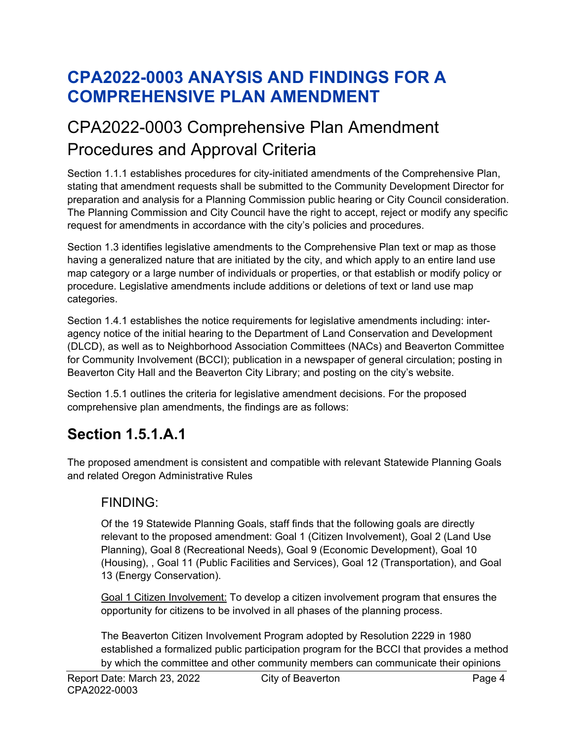# **CPA2022-0003 ANAYSIS AND FINDINGS FOR A COMPREHENSIVE PLAN AMENDMENT**

# CPA2022-0003 Comprehensive Plan Amendment Procedures and Approval Criteria

Section 1.1.1 establishes procedures for city-initiated amendments of the Comprehensive Plan, stating that amendment requests shall be submitted to the Community Development Director for preparation and analysis for a Planning Commission public hearing or City Council consideration. The Planning Commission and City Council have the right to accept, reject or modify any specific request for amendments in accordance with the city's policies and procedures.

Section 1.3 identifies legislative amendments to the Comprehensive Plan text or map as those having a generalized nature that are initiated by the city, and which apply to an entire land use map category or a large number of individuals or properties, or that establish or modify policy or procedure. Legislative amendments include additions or deletions of text or land use map categories.

Section 1.4.1 establishes the notice requirements for legislative amendments including: interagency notice of the initial hearing to the Department of Land Conservation and Development (DLCD), as well as to Neighborhood Association Committees (NACs) and Beaverton Committee for Community Involvement (BCCI); publication in a newspaper of general circulation; posting in Beaverton City Hall and the Beaverton City Library; and posting on the city's website.

Section 1.5.1 outlines the criteria for legislative amendment decisions. For the proposed comprehensive plan amendments, the findings are as follows:

## **Section 1.5.1.A.1**

The proposed amendment is consistent and compatible with relevant Statewide Planning Goals and related Oregon Administrative Rules

### FINDING:

Of the 19 Statewide Planning Goals, staff finds that the following goals are directly relevant to the proposed amendment: Goal 1 (Citizen Involvement), Goal 2 (Land Use Planning), Goal 8 (Recreational Needs), Goal 9 (Economic Development), Goal 10 (Housing), , Goal 11 (Public Facilities and Services), Goal 12 (Transportation), and Goal 13 (Energy Conservation).

Goal 1 Citizen Involvement: To develop a citizen involvement program that ensures the opportunity for citizens to be involved in all phases of the planning process.

The Beaverton Citizen Involvement Program adopted by Resolution 2229 in 1980 established a formalized public participation program for the BCCI that provides a method by which the committee and other community members can communicate their opinions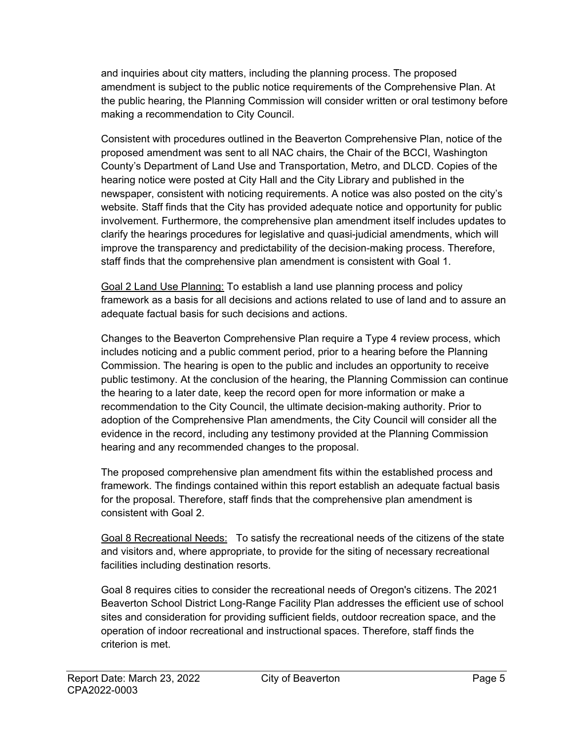and inquiries about city matters, including the planning process. The proposed amendment is subject to the public notice requirements of the Comprehensive Plan. At the public hearing, the Planning Commission will consider written or oral testimony before making a recommendation to City Council.

Consistent with procedures outlined in the Beaverton Comprehensive Plan, notice of the proposed amendment was sent to all NAC chairs, the Chair of the BCCI, Washington County's Department of Land Use and Transportation, Metro, and DLCD. Copies of the hearing notice were posted at City Hall and the City Library and published in the newspaper, consistent with noticing requirements. A notice was also posted on the city's website. Staff finds that the City has provided adequate notice and opportunity for public involvement. Furthermore, the comprehensive plan amendment itself includes updates to clarify the hearings procedures for legislative and quasi-judicial amendments, which will improve the transparency and predictability of the decision-making process. Therefore, staff finds that the comprehensive plan amendment is consistent with Goal 1.

Goal 2 Land Use Planning: To establish a land use planning process and policy framework as a basis for all decisions and actions related to use of land and to assure an adequate factual basis for such decisions and actions.

Changes to the Beaverton Comprehensive Plan require a Type 4 review process, which includes noticing and a public comment period, prior to a hearing before the Planning Commission. The hearing is open to the public and includes an opportunity to receive public testimony. At the conclusion of the hearing, the Planning Commission can continue the hearing to a later date, keep the record open for more information or make a recommendation to the City Council, the ultimate decision-making authority. Prior to adoption of the Comprehensive Plan amendments, the City Council will consider all the evidence in the record, including any testimony provided at the Planning Commission hearing and any recommended changes to the proposal.

The proposed comprehensive plan amendment fits within the established process and framework. The findings contained within this report establish an adequate factual basis for the proposal. Therefore, staff finds that the comprehensive plan amendment is consistent with Goal 2.

Goal 8 Recreational Needs:To satisfy the recreational needs of the citizens of the state and visitors and, where appropriate, to provide for the siting of necessary recreational facilities including destination resorts.

Goal 8 requires cities to consider the recreational needs of Oregon's citizens. The 2021 Beaverton School District Long-Range Facility Plan addresses the efficient use of school sites and consideration for providing sufficient fields, outdoor recreation space, and the operation of indoor recreational and instructional spaces. Therefore, staff finds the criterion is met.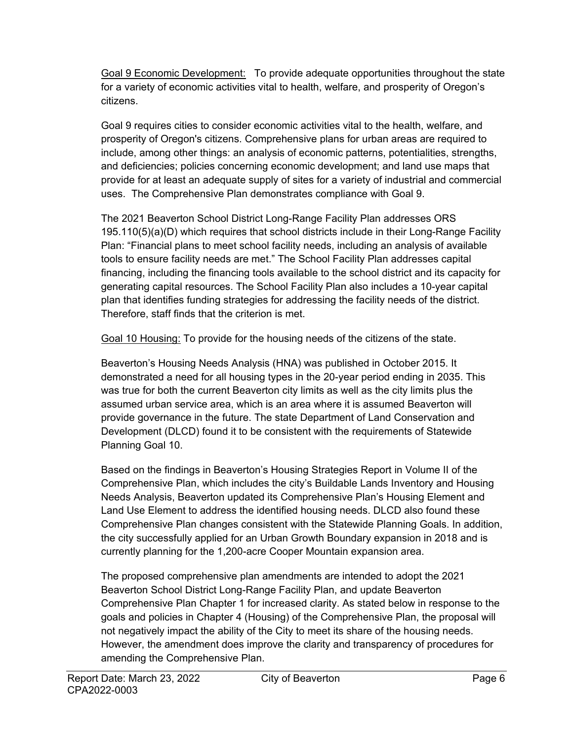Goal 9 Economic Development:To provide adequate opportunities throughout the state for a variety of economic activities vital to health, welfare, and prosperity of Oregon's citizens.

Goal 9 requires cities to consider economic activities vital to the health, welfare, and prosperity of Oregon's citizens. Comprehensive plans for urban areas are required to include, among other things: an analysis of economic patterns, potentialities, strengths, and deficiencies; policies concerning economic development; and land use maps that provide for at least an adequate supply of sites for a variety of industrial and commercial uses. The Comprehensive Plan demonstrates compliance with Goal 9.

The 2021 Beaverton School District Long-Range Facility Plan addresses ORS 195.110(5)(a)(D) which requires that school districts include in their Long-Range Facility Plan: "Financial plans to meet school facility needs, including an analysis of available tools to ensure facility needs are met." The School Facility Plan addresses capital financing, including the financing tools available to the school district and its capacity for generating capital resources. The School Facility Plan also includes a 10-year capital plan that identifies funding strategies for addressing the facility needs of the district. Therefore, staff finds that the criterion is met.

Goal 10 Housing: To provide for the housing needs of the citizens of the state.

Beaverton's Housing Needs Analysis (HNA) was published in October 2015. It demonstrated a need for all housing types in the 20-year period ending in 2035. This was true for both the current Beaverton city limits as well as the city limits plus the assumed urban service area, which is an area where it is assumed Beaverton will provide governance in the future. The state Department of Land Conservation and Development (DLCD) found it to be consistent with the requirements of Statewide Planning Goal 10.

Based on the findings in Beaverton's Housing Strategies Report in Volume II of the Comprehensive Plan, which includes the city's Buildable Lands Inventory and Housing Needs Analysis, Beaverton updated its Comprehensive Plan's Housing Element and Land Use Element to address the identified housing needs. DLCD also found these Comprehensive Plan changes consistent with the Statewide Planning Goals. In addition, the city successfully applied for an Urban Growth Boundary expansion in 2018 and is currently planning for the 1,200-acre Cooper Mountain expansion area.

The proposed comprehensive plan amendments are intended to adopt the 2021 Beaverton School District Long-Range Facility Plan, and update Beaverton Comprehensive Plan Chapter 1 for increased clarity. As stated below in response to the goals and policies in Chapter 4 (Housing) of the Comprehensive Plan, the proposal will not negatively impact the ability of the City to meet its share of the housing needs. However, the amendment does improve the clarity and transparency of procedures for amending the Comprehensive Plan.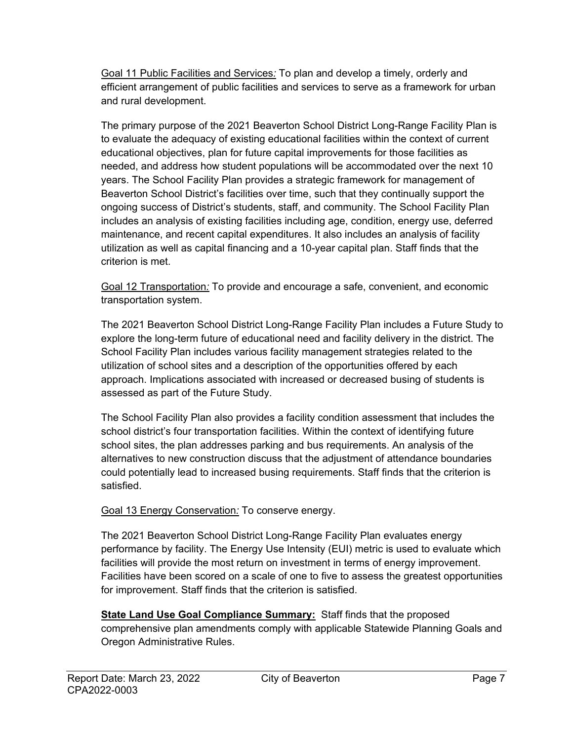Goal 11 Public Facilities and Services*:* To plan and develop a timely, orderly and efficient arrangement of public facilities and services to serve as a framework for urban and rural development.

The primary purpose of the 2021 Beaverton School District Long-Range Facility Plan is to evaluate the adequacy of existing educational facilities within the context of current educational objectives, plan for future capital improvements for those facilities as needed, and address how student populations will be accommodated over the next 10 years. The School Facility Plan provides a strategic framework for management of Beaverton School District's facilities over time, such that they continually support the ongoing success of District's students, staff, and community. The School Facility Plan includes an analysis of existing facilities including age, condition, energy use, deferred maintenance, and recent capital expenditures. It also includes an analysis of facility utilization as well as capital financing and a 10-year capital plan. Staff finds that the criterion is met.

Goal 12 Transportation*:* To provide and encourage a safe, convenient, and economic transportation system.

The 2021 Beaverton School District Long-Range Facility Plan includes a Future Study to explore the long-term future of educational need and facility delivery in the district. The School Facility Plan includes various facility management strategies related to the utilization of school sites and a description of the opportunities offered by each approach. Implications associated with increased or decreased busing of students is assessed as part of the Future Study.

The School Facility Plan also provides a facility condition assessment that includes the school district's four transportation facilities. Within the context of identifying future school sites, the plan addresses parking and bus requirements. An analysis of the alternatives to new construction discuss that the adjustment of attendance boundaries could potentially lead to increased busing requirements. Staff finds that the criterion is satisfied.

#### Goal 13 Energy Conservation*:* To conserve energy.

The 2021 Beaverton School District Long-Range Facility Plan evaluates energy performance by facility. The Energy Use Intensity (EUI) metric is used to evaluate which facilities will provide the most return on investment in terms of energy improvement. Facilities have been scored on a scale of one to five to assess the greatest opportunities for improvement. Staff finds that the criterion is satisfied.

**State Land Use Goal Compliance Summary:** Staff finds that the proposed comprehensive plan amendments comply with applicable Statewide Planning Goals and Oregon Administrative Rules.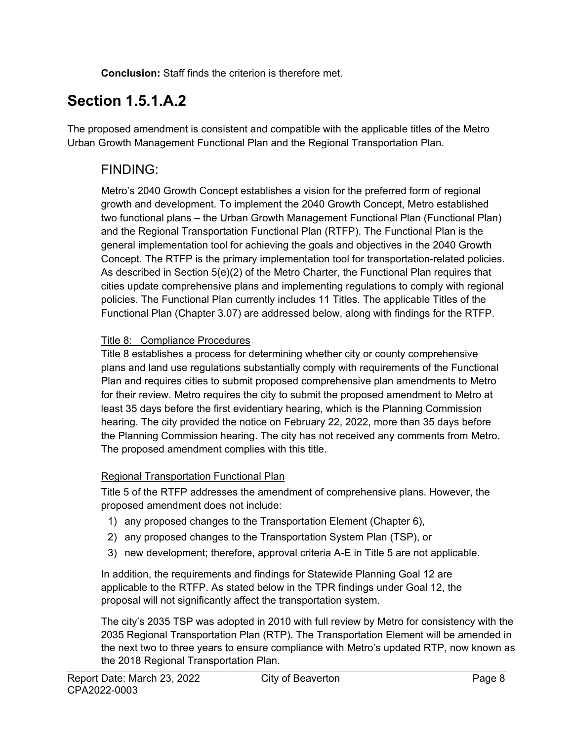**Conclusion:** Staff finds the criterion is therefore met.

## **Section 1.5.1.A.2**

The proposed amendment is consistent and compatible with the applicable titles of the Metro Urban Growth Management Functional Plan and the Regional Transportation Plan.

### FINDING:

Metro's 2040 Growth Concept establishes a vision for the preferred form of regional growth and development. To implement the 2040 Growth Concept, Metro established two functional plans – the Urban Growth Management Functional Plan (Functional Plan) and the Regional Transportation Functional Plan (RTFP). The Functional Plan is the general implementation tool for achieving the goals and objectives in the 2040 Growth Concept. The RTFP is the primary implementation tool for transportation-related policies. As described in Section 5(e)(2) of the Metro Charter, the Functional Plan requires that cities update comprehensive plans and implementing regulations to comply with regional policies. The Functional Plan currently includes 11 Titles. The applicable Titles of the Functional Plan (Chapter 3.07) are addressed below, along with findings for the RTFP.

#### Title 8: Compliance Procedures

Title 8 establishes a process for determining whether city or county comprehensive plans and land use regulations substantially comply with requirements of the Functional Plan and requires cities to submit proposed comprehensive plan amendments to Metro for their review. Metro requires the city to submit the proposed amendment to Metro at least 35 days before the first evidentiary hearing, which is the Planning Commission hearing. The city provided the notice on February 22, 2022, more than 35 days before the Planning Commission hearing. The city has not received any comments from Metro. The proposed amendment complies with this title.

### Regional Transportation Functional Plan

Title 5 of the RTFP addresses the amendment of comprehensive plans. However, the proposed amendment does not include:

- 1) any proposed changes to the Transportation Element (Chapter 6),
- 2) any proposed changes to the Transportation System Plan (TSP), or
- 3) new development; therefore, approval criteria A-E in Title 5 are not applicable.

In addition, the requirements and findings for Statewide Planning Goal 12 are applicable to the RTFP. As stated below in the TPR findings under Goal 12, the proposal will not significantly affect the transportation system.

The city's 2035 TSP was adopted in 2010 with full review by Metro for consistency with the 2035 Regional Transportation Plan (RTP). The Transportation Element will be amended in the next two to three years to ensure compliance with Metro's updated RTP, now known as the 2018 Regional Transportation Plan.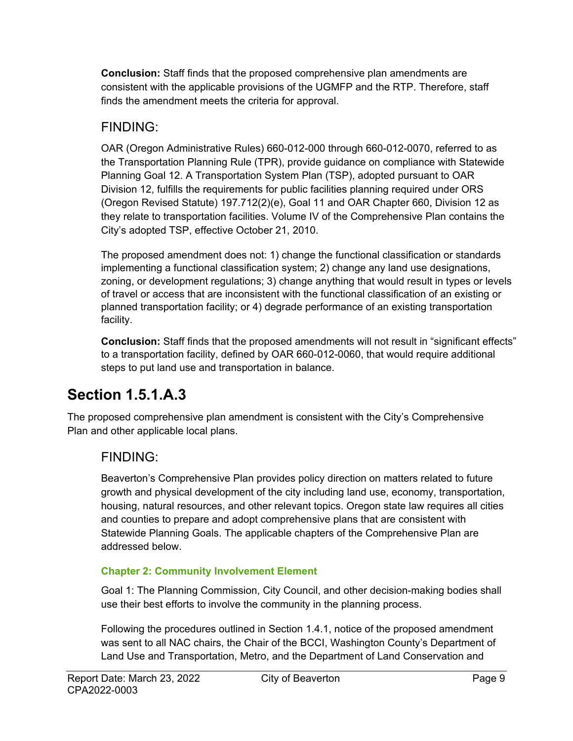**Conclusion:** Staff finds that the proposed comprehensive plan amendments are consistent with the applicable provisions of the UGMFP and the RTP. Therefore, staff finds the amendment meets the criteria for approval.

### FINDING:

OAR (Oregon Administrative Rules) 660-012-000 through 660-012-0070, referred to as the Transportation Planning Rule (TPR), provide guidance on compliance with Statewide Planning Goal 12. A Transportation System Plan (TSP), adopted pursuant to OAR Division 12, fulfills the requirements for public facilities planning required under ORS (Oregon Revised Statute) 197.712(2)(e), Goal 11 and OAR Chapter 660, Division 12 as they relate to transportation facilities. Volume IV of the Comprehensive Plan contains the City's adopted TSP, effective October 21, 2010.

The proposed amendment does not: 1) change the functional classification or standards implementing a functional classification system; 2) change any land use designations, zoning, or development regulations; 3) change anything that would result in types or levels of travel or access that are inconsistent with the functional classification of an existing or planned transportation facility; or 4) degrade performance of an existing transportation facility.

**Conclusion:** Staff finds that the proposed amendments will not result in "significant effects" to a transportation facility, defined by OAR 660-012-0060, that would require additional steps to put land use and transportation in balance.

# **Section 1.5.1.A.3**

The proposed comprehensive plan amendment is consistent with the City's Comprehensive Plan and other applicable local plans.

### FINDING:

Beaverton's Comprehensive Plan provides policy direction on matters related to future growth and physical development of the city including land use, economy, transportation, housing, natural resources, and other relevant topics. Oregon state law requires all cities and counties to prepare and adopt comprehensive plans that are consistent with Statewide Planning Goals. The applicable chapters of the Comprehensive Plan are addressed below.

#### **Chapter 2: Community Involvement Element**

Goal 1: The Planning Commission, City Council, and other decision-making bodies shall use their best efforts to involve the community in the planning process.

Following the procedures outlined in Section 1.4.1, notice of the proposed amendment was sent to all NAC chairs, the Chair of the BCCI, Washington County's Department of Land Use and Transportation, Metro, and the Department of Land Conservation and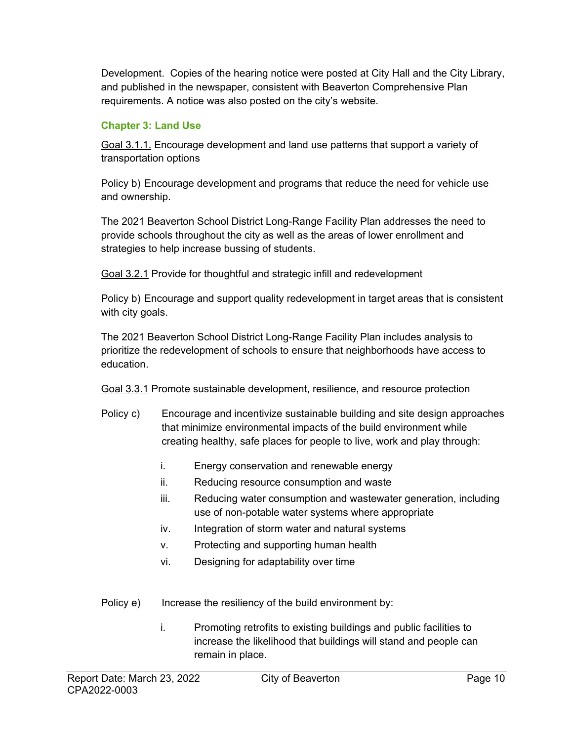Development. Copies of the hearing notice were posted at City Hall and the City Library, and published in the newspaper, consistent with Beaverton Comprehensive Plan requirements. A notice was also posted on the city's website.

#### **Chapter 3: Land Use**

Goal 3.1.1. Encourage development and land use patterns that support a variety of transportation options

Policy b) Encourage development and programs that reduce the need for vehicle use and ownership.

The 2021 Beaverton School District Long-Range Facility Plan addresses the need to provide schools throughout the city as well as the areas of lower enrollment and strategies to help increase bussing of students.

Goal 3.2.1 Provide for thoughtful and strategic infill and redevelopment

Policy b) Encourage and support quality redevelopment in target areas that is consistent with city goals.

The 2021 Beaverton School District Long-Range Facility Plan includes analysis to prioritize the redevelopment of schools to ensure that neighborhoods have access to education.

Goal 3.3.1 Promote sustainable development, resilience, and resource protection

- Policy c) Encourage and incentivize sustainable building and site design approaches that minimize environmental impacts of the build environment while creating healthy, safe places for people to live, work and play through:
	- i. Energy conservation and renewable energy
	- ii. Reducing resource consumption and waste
	- iii. Reducing water consumption and wastewater generation, including use of non-potable water systems where appropriate
	- iv. Integration of storm water and natural systems
	- v. Protecting and supporting human health
	- vi. Designing for adaptability over time
- Policy e) Increase the resiliency of the build environment by:
	- i. Promoting retrofits to existing buildings and public facilities to increase the likelihood that buildings will stand and people can remain in place.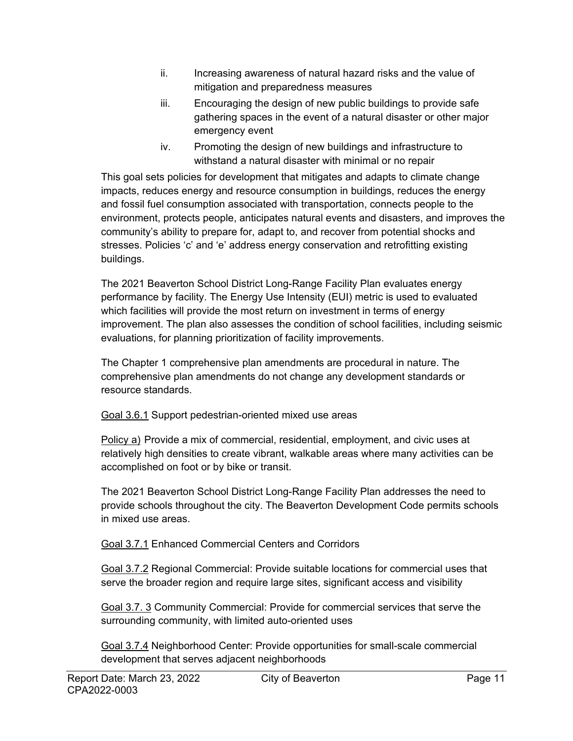- ii. Increasing awareness of natural hazard risks and the value of mitigation and preparedness measures
- iii. Encouraging the design of new public buildings to provide safe gathering spaces in the event of a natural disaster or other major emergency event
- iv. Promoting the design of new buildings and infrastructure to withstand a natural disaster with minimal or no repair

This goal sets policies for development that mitigates and adapts to climate change impacts, reduces energy and resource consumption in buildings, reduces the energy and fossil fuel consumption associated with transportation, connects people to the environment, protects people, anticipates natural events and disasters, and improves the community's ability to prepare for, adapt to, and recover from potential shocks and stresses. Policies 'c' and 'e' address energy conservation and retrofitting existing buildings.

The 2021 Beaverton School District Long-Range Facility Plan evaluates energy performance by facility. The Energy Use Intensity (EUI) metric is used to evaluated which facilities will provide the most return on investment in terms of energy improvement. The plan also assesses the condition of school facilities, including seismic evaluations, for planning prioritization of facility improvements.

The Chapter 1 comprehensive plan amendments are procedural in nature. The comprehensive plan amendments do not change any development standards or resource standards.

Goal 3.6.1 Support pedestrian-oriented mixed use areas

Policy a) Provide a mix of commercial, residential, employment, and civic uses at relatively high densities to create vibrant, walkable areas where many activities can be accomplished on foot or by bike or transit.

The 2021 Beaverton School District Long-Range Facility Plan addresses the need to provide schools throughout the city. The Beaverton Development Code permits schools in mixed use areas.

Goal 3.7.1 Enhanced Commercial Centers and Corridors

Goal 3.7.2 Regional Commercial: Provide suitable locations for commercial uses that serve the broader region and require large sites, significant access and visibility

Goal 3.7. 3 Community Commercial: Provide for commercial services that serve the surrounding community, with limited auto-oriented uses

Goal 3.7.4 Neighborhood Center: Provide opportunities for small-scale commercial development that serves adjacent neighborhoods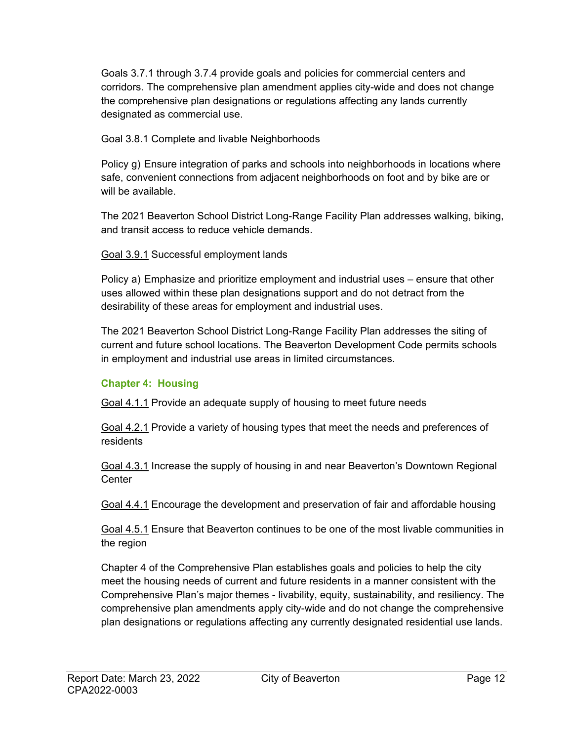Goals 3.7.1 through 3.7.4 provide goals and policies for commercial centers and corridors. The comprehensive plan amendment applies city-wide and does not change the comprehensive plan designations or regulations affecting any lands currently designated as commercial use.

Goal 3.8.1 Complete and livable Neighborhoods

Policy g) Ensure integration of parks and schools into neighborhoods in locations where safe, convenient connections from adjacent neighborhoods on foot and by bike are or will be available.

The 2021 Beaverton School District Long-Range Facility Plan addresses walking, biking, and transit access to reduce vehicle demands.

Goal 3.9.1 Successful employment lands

Policy a) Emphasize and prioritize employment and industrial uses – ensure that other uses allowed within these plan designations support and do not detract from the desirability of these areas for employment and industrial uses.

The 2021 Beaverton School District Long-Range Facility Plan addresses the siting of current and future school locations. The Beaverton Development Code permits schools in employment and industrial use areas in limited circumstances.

#### **Chapter 4: Housing**

Goal 4.1.1 Provide an adequate supply of housing to meet future needs

Goal 4.2.1 Provide a variety of housing types that meet the needs and preferences of residents

Goal 4.3.1 Increase the supply of housing in and near Beaverton's Downtown Regional **Center** 

Goal 4.4.1 Encourage the development and preservation of fair and affordable housing

Goal 4.5.1 Ensure that Beaverton continues to be one of the most livable communities in the region

Chapter 4 of the Comprehensive Plan establishes goals and policies to help the city meet the housing needs of current and future residents in a manner consistent with the Comprehensive Plan's major themes - livability, equity, sustainability, and resiliency. The comprehensive plan amendments apply city-wide and do not change the comprehensive plan designations or regulations affecting any currently designated residential use lands.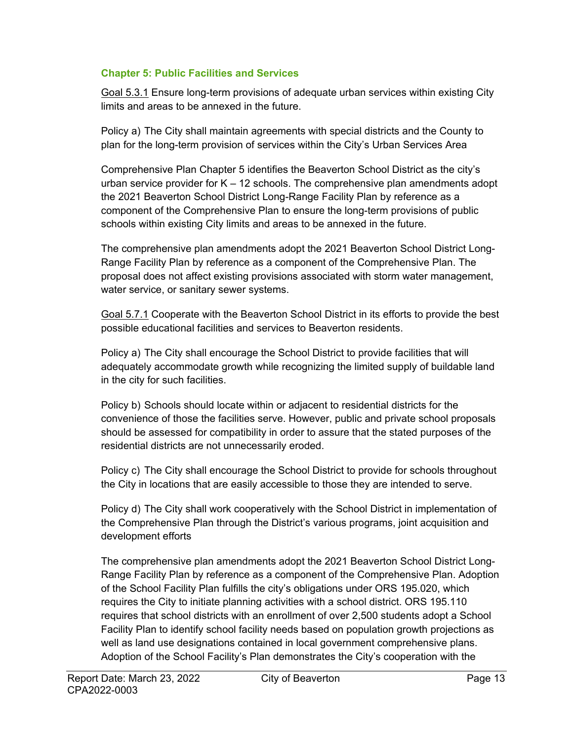#### **Chapter 5: Public Facilities and Services**

Goal 5.3.1 Ensure long-term provisions of adequate urban services within existing City limits and areas to be annexed in the future.

Policy a) The City shall maintain agreements with special districts and the County to plan for the long-term provision of services within the City's Urban Services Area

Comprehensive Plan Chapter 5 identifies the Beaverton School District as the city's urban service provider for  $K - 12$  schools. The comprehensive plan amendments adopt the 2021 Beaverton School District Long-Range Facility Plan by reference as a component of the Comprehensive Plan to ensure the long-term provisions of public schools within existing City limits and areas to be annexed in the future.

The comprehensive plan amendments adopt the 2021 Beaverton School District Long-Range Facility Plan by reference as a component of the Comprehensive Plan. The proposal does not affect existing provisions associated with storm water management, water service, or sanitary sewer systems.

Goal 5.7.1 Cooperate with the Beaverton School District in its efforts to provide the best possible educational facilities and services to Beaverton residents.

Policy a) The City shall encourage the School District to provide facilities that will adequately accommodate growth while recognizing the limited supply of buildable land in the city for such facilities.

Policy b) Schools should locate within or adjacent to residential districts for the convenience of those the facilities serve. However, public and private school proposals should be assessed for compatibility in order to assure that the stated purposes of the residential districts are not unnecessarily eroded.

Policy c) The City shall encourage the School District to provide for schools throughout the City in locations that are easily accessible to those they are intended to serve.

Policy d) The City shall work cooperatively with the School District in implementation of the Comprehensive Plan through the District's various programs, joint acquisition and development efforts

The comprehensive plan amendments adopt the 2021 Beaverton School District Long-Range Facility Plan by reference as a component of the Comprehensive Plan. Adoption of the School Facility Plan fulfills the city's obligations under ORS 195.020, which requires the City to initiate planning activities with a school district. ORS 195.110 requires that school districts with an enrollment of over 2,500 students adopt a School Facility Plan to identify school facility needs based on population growth projections as well as land use designations contained in local government comprehensive plans. Adoption of the School Facility's Plan demonstrates the City's cooperation with the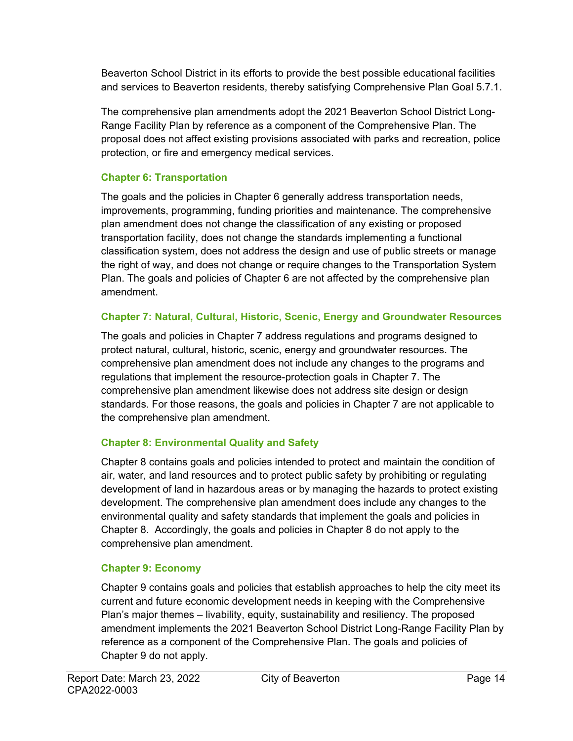Beaverton School District in its efforts to provide the best possible educational facilities and services to Beaverton residents, thereby satisfying Comprehensive Plan Goal 5.7.1.

The comprehensive plan amendments adopt the 2021 Beaverton School District Long-Range Facility Plan by reference as a component of the Comprehensive Plan. The proposal does not affect existing provisions associated with parks and recreation, police protection, or fire and emergency medical services.

#### **Chapter 6: Transportation**

The goals and the policies in Chapter 6 generally address transportation needs, improvements, programming, funding priorities and maintenance. The comprehensive plan amendment does not change the classification of any existing or proposed transportation facility, does not change the standards implementing a functional classification system, does not address the design and use of public streets or manage the right of way, and does not change or require changes to the Transportation System Plan. The goals and policies of Chapter 6 are not affected by the comprehensive plan amendment.

#### **Chapter 7: Natural, Cultural, Historic, Scenic, Energy and Groundwater Resources**

The goals and policies in Chapter 7 address regulations and programs designed to protect natural, cultural, historic, scenic, energy and groundwater resources. The comprehensive plan amendment does not include any changes to the programs and regulations that implement the resource-protection goals in Chapter 7. The comprehensive plan amendment likewise does not address site design or design standards. For those reasons, the goals and policies in Chapter 7 are not applicable to the comprehensive plan amendment.

### **Chapter 8: Environmental Quality and Safety**

Chapter 8 contains goals and policies intended to protect and maintain the condition of air, water, and land resources and to protect public safety by prohibiting or regulating development of land in hazardous areas or by managing the hazards to protect existing development. The comprehensive plan amendment does include any changes to the environmental quality and safety standards that implement the goals and policies in Chapter 8. Accordingly, the goals and policies in Chapter 8 do not apply to the comprehensive plan amendment.

#### **Chapter 9: Economy**

Chapter 9 contains goals and policies that establish approaches to help the city meet its current and future economic development needs in keeping with the Comprehensive Plan's major themes – livability, equity, sustainability and resiliency. The proposed amendment implements the 2021 Beaverton School District Long-Range Facility Plan by reference as a component of the Comprehensive Plan. The goals and policies of Chapter 9 do not apply.